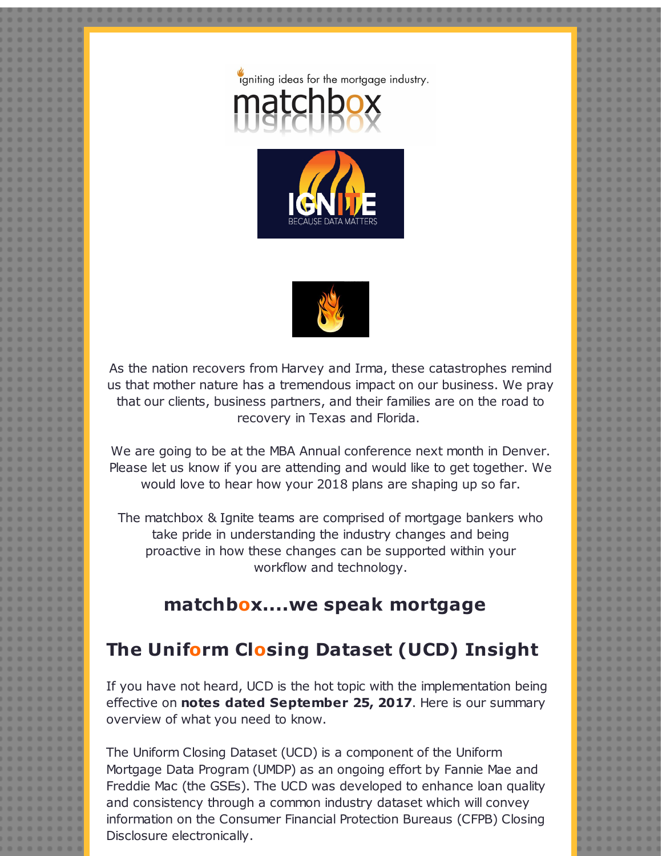





As the nation recovers from Harvey and Irma, these catastrophes remind us that mother nature has a tremendous impact on our business. We pray that our clients, business partners, and their families are on the road to recovery in Texas and Florida.

We are going to be at the MBA Annual conference next month in Denver. Please let us know if you are attending and would like to get together. We would love to hear how your 2018 plans are shaping up so far.

The matchbox & Ignite teams are comprised of mortgage bankers who take pride in understanding the industry changes and being proactive in how these changes can be supported within your workflow and technology.

## **matchbox....we speak mortgage**

## **The Uniform Closing Dataset (UCD) Insight**

If you have not heard, UCD is the hot topic with the implementation being effective on **notes dated September 25, 2017**. Here is our summary overview of what you need to know.

The Uniform Closing Dataset (UCD) is a component of the Uniform Mortgage Data Program (UMDP) as an ongoing effort by Fannie Mae and Freddie Mac (the GSEs). The UCD was developed to enhance loan quality and consistency through a common industry dataset which will convey information on the Consumer Financial Protection Bureaus (CFPB) Closing Disclosure electronically.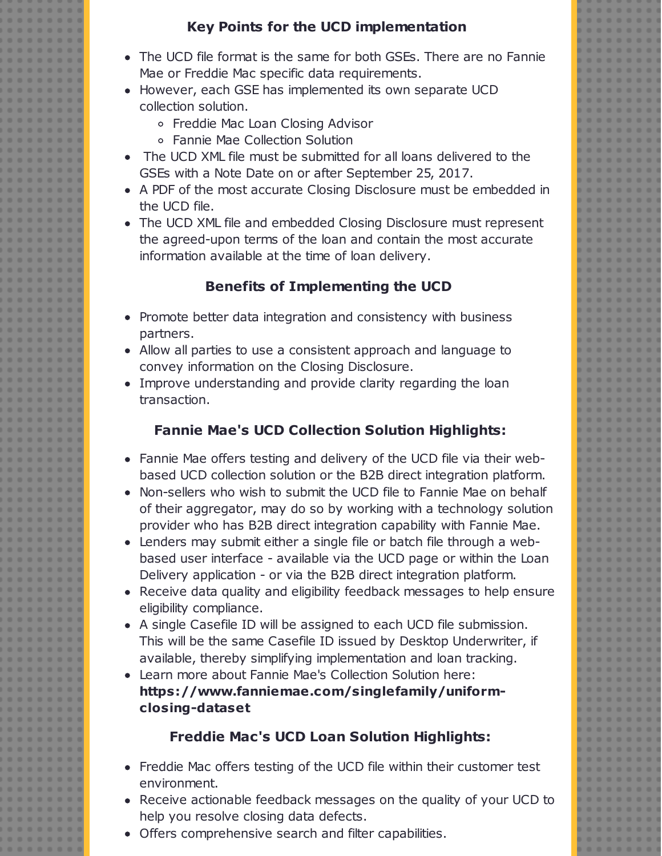#### **Key Points for the UCD implementation**

- The UCD file format is the same for both GSEs. There are no Fannie Mae or Freddie Mac specific data requirements.
- However, each GSE has implemented its own separate UCD collection solution.
	- Freddie Mac Loan Closing Advisor
	- Fannie Mae Collection Solution
- The UCD XML file must be submitted for all loans delivered to the GSEs with a Note Date on or after September 25, 2017.
- A PDF of the most accurate Closing Disclosure must be embedded in the UCD file.
- The UCD XML file and embedded Closing Disclosure must represent the agreed-upon terms of the loan and contain the most accurate information available at the time of loan delivery.

### **Benefits of Implementing the UCD**

- Promote better data integration and consistency with business partners.
- Allow all parties to use a consistent approach and language to convey information on the Closing Disclosure.
- Improve understanding and provide clarity regarding the loan transaction.

## **Fannie Mae's UCD Collection Solution Highlights:**

- Fannie Mae offers testing and delivery of the UCD file via their webbased UCD collection solution or the B2B direct integration platform.
- Non-sellers who wish to submit the UCD file to Fannie Mae on behalf of their aggregator, may do so by working with a technology solution provider who has B2B direct integration capability with Fannie Mae.
- Lenders may submit either a single file or batch file through a webbased user interface - available via the UCD page or within the Loan Delivery application - or via the B2B direct integration platform.
- Receive data quality and eligibility feedback messages to help ensure eligibility compliance.
- A single Casefile ID will be assigned to each UCD file submission. This will be the same Casefile ID issued by Desktop Underwriter, if available, thereby simplifying implementation and loan tracking.
- Learn more about Fannie Mae's Collection Solution here: **https://www.fanniemae.com/singlefamily/uniformclosing-dataset**

## **Freddie Mac's UCD Loan Solution Highlights:**

- Freddie Mac offers testing of the UCD file within their customer test environment.
- Receive actionable feedback messages on the quality of your UCD to help you resolve closing data defects.
- Offers comprehensive search and filter capabilities.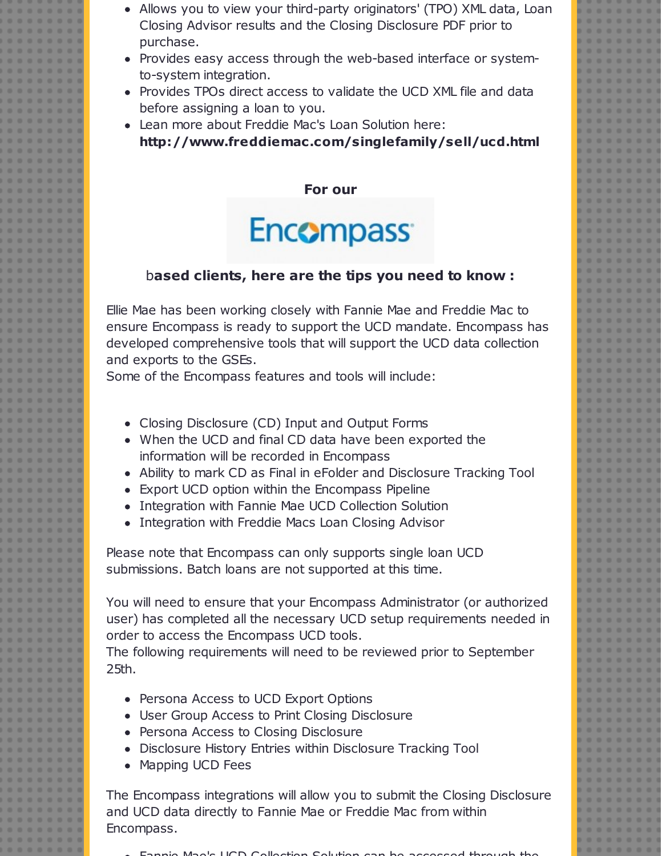- Allows you to view your third-party originators' (TPO) XML data, Loan Closing Advisor results and the Closing Disclosure PDF prior to purchase.
- Provides easy access through the web-based interface or systemto-system integration.
- Provides TPOs direct access to validate the UCD XML file and data before assigning a loan to you.
- Lean more about Freddie Mac's Loan Solution here: **http://www.freddiemac.com/singlefamily/sell/ucd.html**

**For our**

# Encompass<sup>®</sup>

#### b**ased clients, here are the tips you need to know :**

Ellie Mae has been working closely with Fannie Mae and Freddie Mac to ensure Encompass is ready to support the UCD mandate. Encompass has developed comprehensive tools that will support the UCD data collection and exports to the GSEs.

Some of the Encompass features and tools will include:

- Closing Disclosure (CD) Input and Output Forms
- When the UCD and final CD data have been exported the information will be recorded in Encompass
- Ability to mark CD as Final in eFolder and Disclosure Tracking Tool
- Export UCD option within the Encompass Pipeline
- Integration with Fannie Mae UCD Collection Solution
- Integration with Freddie Macs Loan Closing Advisor

Please note that Encompass can only supports single loan UCD submissions. Batch loans are not supported at this time.

You will need to ensure that your Encompass Administrator (or authorized user) has completed all the necessary UCD setup requirements needed in order to access the Encompass UCD tools.

The following requirements will need to be reviewed prior to September 25th.

- Persona Access to UCD Export Options
- User Group Access to Print Closing Disclosure
- Persona Access to Closing Disclosure
- Disclosure History Entries within Disclosure Tracking Tool
- Mapping UCD Fees

The Encompass integrations will allow you to submit the Closing Disclosure and UCD data directly to Fannie Mae or Freddie Mac from within Encompass.

Fannie Mae's UCD Collection Solution can be accessed through the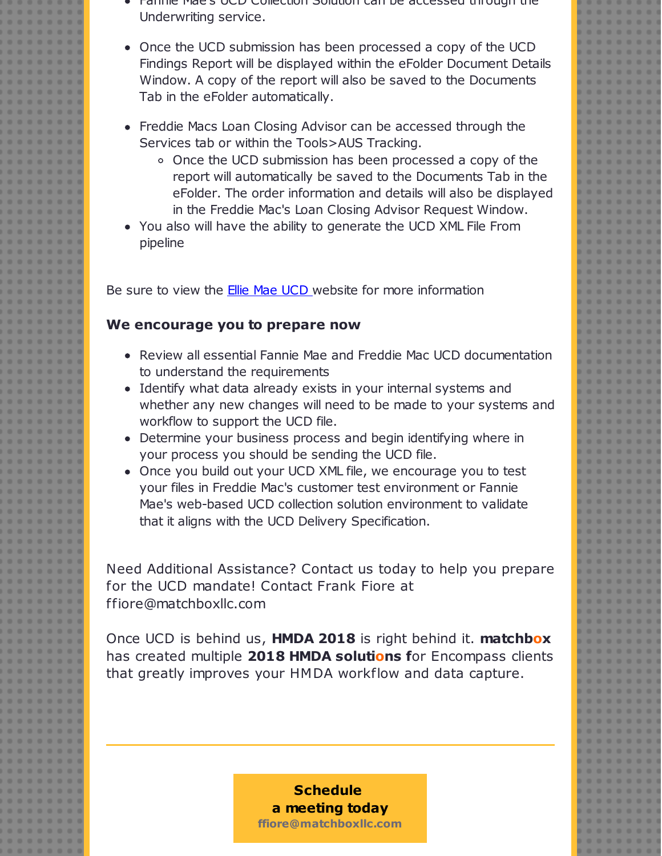- Fannie Mae's UCD Collection Solution can be accessed through the Underwriting service.
- Once the UCD submission has been processed a copy of the UCD Findings Report will be displayed within the eFolder Document Details Window. A copy of the report will also be saved to the Documents Tab in the eFolder automatically.
- Freddie Macs Loan Closing Advisor can be accessed through the Services tab or within the Tools>AUS Tracking.
	- o Once the UCD submission has been processed a copy of the report will automatically be saved to the Documents Tab in the eFolder. The order information and details will also be displayed in the Freddie Mac's Loan Closing Advisor Request Window.
- You also will have the ability to generate the UCD XML File From pipeline

Be sure to view the **Ellie Mae [UCD](http://r20.rs6.net/tn.jsp?f=0015-RcT8Q8D_8NtIdNvGoRY1LjshQODtQ0F5Lg2hZXdIadIDPS-dsiS0C51MxTlDB2HTHfm4NzKCsIpj-m1BGP3ZTJ9GuarJ0IqaKffZ-EEr7omuYnEkHpsl17WbxEnmJ8dQGP9SSt0g0rosiLwoN225F9FMltS5-CGiU-BonJHqQrLiJFc0GlkxpYMXUxHT2rmtD5qZwt4Adb4dMssBTIIdhIsIMuYKcdmWP_024A3glxqslYmGhKj_qFRFVMhoehgUbknrC53Jo=&c=&ch=)** website for more information

#### **We encourage you to prepare now**

- Review all essential Fannie Mae and Freddie Mac UCD documentation to understand the requirements
- Identify what data already exists in your internal systems and whether any new changes will need to be made to your systems and workflow to support the UCD file.
- Determine your business process and begin identifying where in your process you should be sending the UCD file.
- Once you build out your UCD XML file, we encourage you to test your files in Freddie Mac's customer test environment or Fannie Mae's web-based UCD collection solution environment to validate that it aligns with the UCD Delivery Specification.

Need Additional Assistance? Contact us today to help you prepare for the UCD mandate! Contact Frank Fiore at ffiore@matchboxllc.com

Once UCD is behind us, **HMDA 2018** is right behind it. **matchbox** has created multiple **2018 HMDA solutions f**or Encompass clients that greatly improves your HMDA workflow and data capture.

#### **Schedule a meeting [today](http://r20.rs6.net/tn.jsp?f=0015-RcT8Q8D_8NtIdNvGoRY1LjshQODtQ0F5Lg2hZXdIadIDPS-dsiS9bO3EY7rxiFR846skgDHRqBoIjQfzZ6jh7UfV8S4hcfSc-Wryur7lJ3k2hP8WAIhM3EctVs9AJMUAU3cT0xuhTbuB-Qc_VbXLO_EdbWTE3QF3zPa37b2is=&c=&ch=) ffiore@matchboxllc.com**